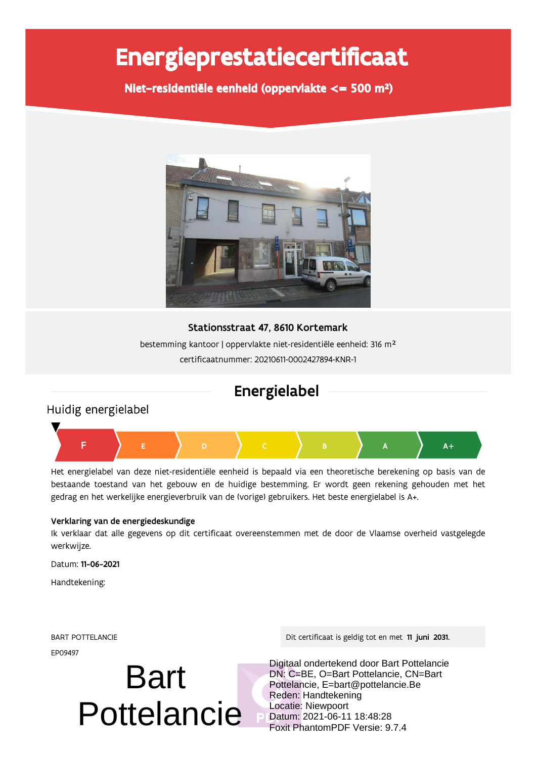# Energieprestatiecertificaat

Niet-residentiële eenheid (oppervlakte <= 500 m<sup>2</sup>)



### Stationsstraat 47, 8610 Kortemark

bestemming kantoor | oppervlakte niet-residentiële eenheid: 316 m<sup>2</sup> certificaatnummer: 20210611-0002427894-KNR-1

# Energielabel

### Huidig energielabel



Het energielabel van deze niet-residentiële eenheid is bepaald via een theoretische berekening op basis van de bestaande toestand van het gebouw en de huidige bestemming. Er wordt geen rekening gehouden met het gedrag en het werkelijke energieverbruik van de (vorige) gebruikers. Het beste energielabel is A+.

### Verklaring van de energiedeskundige

Ik verklaar dat alle gegevens op dit certificaat overeenstemmen met de door de Vlaamse overheid vastgelegde werkwijze.

Datum: 11-06-2021

Handtekening:

FP09497

# Bart Pottelancie

61(7 8977-:1';3- 5 

 ! "#

Digitaal ondertekend door Bart Pottelancie DN: C=BE, O=Bart Pottelancie, CN=Bart Pottelancie, E=bart@pottelancie.Be Reden: Handtekening Locatie: Niewpoort Datum: 2021-06-11 18:48:28 Foxit PhantomPDF Versie: 9.7.4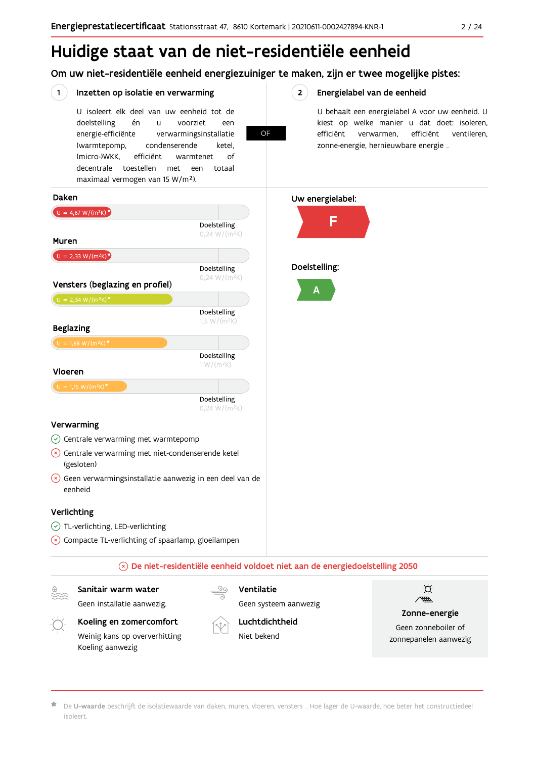# Huidige staat van de niet-residentiële eenheid

Om uw niet-residentiële eenheid energiezuiniger te maken, zijn er twee mogelijke pistes:

### Inzetten op isolatie en verwarming

 $\left( 1 \right)$ 

U isoleert elk deel van uw eenheid tot de voorziet doelstelling én  $\overline{11}$ een energie-efficiënte verwarmingsinstallatie (warmtepomp, condenserende ketel. (micro-)WKK. efficiënt warmtenet  $\bigcap_{ }$ decentrale toestellen met een totaal maximaal vermogen van 15 W/m<sup>2</sup>).

OF

#### $2^{\circ}$ Energielabel van de eenheid

U behaalt een energielabel A voor uw eenheid. U kiest op welke manier u dat doet: isoleren, efficiënt verwarmen, efficiënt ventileren, zonne-energie, hernieuwbare energie ...

#### Daken Uw energielabel:  $U = 4,67 W/(m^2K)^{*}$ F Doelstelling  $0,24 W/(m^2K)$ Muren  $U = 2,33 W/(m^2K)^{2}$ Doelstelling: Doelstelling  $0,24 W/(m^2K)$ Vensters (beglazing en profiel) Δ  $U = 2,34 W/(m^2K)^*$ Doelstelling  $1,5 W/(m^2K)$ **Beglazing** Doelstelling  $1 W/(m^2K)$ Vloeren Doelstelling  $0,24 W/(m^2K)$ Verwarming  $\circledcirc$  Centrale verwarming met warmtepomp  $(x)$  Centrale verwarming met niet-condenserende ketel (gesloten)  $\overline{\mathcal{L}}$  Geen verwarmingsinstallatie aanwezig in een deel van de eenheid

#### Verlichting

- ◯ TL-verlichting, LED-verlichting
- $\overline{\mathcal{L}}$  Compacte TL-verlichting of spaarlamp, gloeilampen

#### $\circledR$  De niet-residentiële eenheid voldoet niet aan de energiedoelstelling 2050

Sanitair warm water

Geen installatie aanwezig.

Geen systeem aanwezig



Luchtdichtheid

Niet bekend

Ventilatie



Zonne-energie Geen zonneboiler of zonnepanelen aanwezig

De U-waarde beschrijft de isolatiewaarde van daken, muren, vloeren, vensters ... Hoe lager de U-waarde, hoe beter het constructiedeel isoleert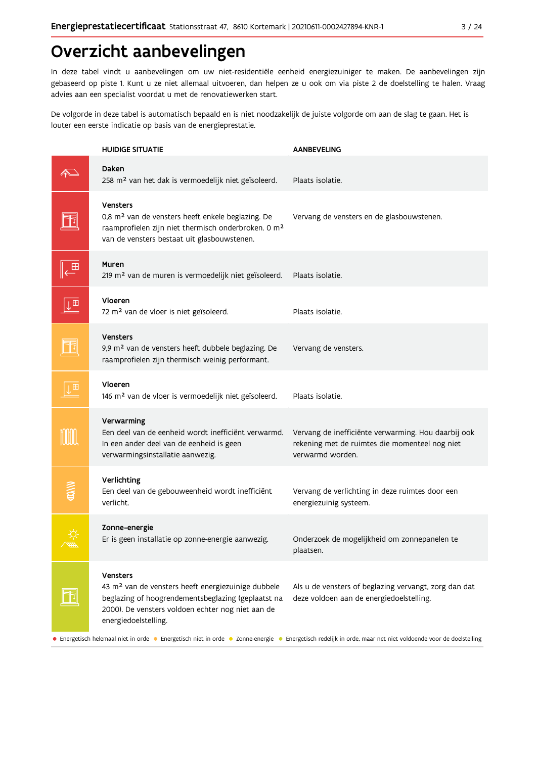# Overzicht aanbevelingen

In deze tabel vindt u aanbevelingen om uw niet-residentiële eenheid energiezuiniger te maken. De aanbevelingen zijn gebaseerd op piste 1. Kunt u ze niet allemaal uitvoeren, dan helpen ze u ook om via piste 2 de doelstelling te halen. Vraag advies aan een specialist voordat u met de renovatiewerken start.

De volgorde in deze tabel is automatisch bepaald en is niet noodzakelijk de juiste volgorde om aan de slag te gaan. Het is louter een eerste indicatie op basis van de energieprestatie.

|                | <b>HUIDIGE SITUATIE</b>                                                                                                                                                                                              | <b>AANBEVELING</b>                                                                                                                                                                                                                                               |
|----------------|----------------------------------------------------------------------------------------------------------------------------------------------------------------------------------------------------------------------|------------------------------------------------------------------------------------------------------------------------------------------------------------------------------------------------------------------------------------------------------------------|
|                | Daken<br>258 m <sup>2</sup> van het dak is vermoedelijk niet geïsoleerd.                                                                                                                                             | Plaats isolatie.                                                                                                                                                                                                                                                 |
|                | <b>Vensters</b><br>0,8 m <sup>2</sup> van de vensters heeft enkele beglazing. De<br>raamprofielen zijn niet thermisch onderbroken. 0 m <sup>2</sup><br>van de vensters bestaat uit glasbouwstenen.                   | Vervang de vensters en de glasbouwstenen.                                                                                                                                                                                                                        |
|                | Muren<br>219 m <sup>2</sup> van de muren is vermoedelijk niet geïsoleerd.                                                                                                                                            | Plaats isolatie.                                                                                                                                                                                                                                                 |
| $\overline{1}$ | Vloeren<br>72 m <sup>2</sup> van de vloer is niet geïsoleerd.                                                                                                                                                        | Plaats isolatie.                                                                                                                                                                                                                                                 |
|                | <b>Vensters</b><br>9,9 m <sup>2</sup> van de vensters heeft dubbele beglazing. De<br>raamprofielen zijn thermisch weinig performant.                                                                                 | Vervang de vensters.                                                                                                                                                                                                                                             |
| 田              | Vloeren<br>146 m <sup>2</sup> van de vloer is vermoedelijk niet geïsoleerd.                                                                                                                                          | Plaats isolatie.                                                                                                                                                                                                                                                 |
|                | Verwarming<br>Een deel van de eenheid wordt inefficiënt verwarmd.<br>In een ander deel van de eenheid is geen<br>verwarmingsinstallatie aanwezig.                                                                    | Vervang de inefficiënte verwarming. Hou daarbij ook<br>rekening met de ruimtes die momenteel nog niet<br>verwarmd worden.                                                                                                                                        |
|                | Verlichting<br>Een deel van de gebouweenheid wordt inefficiënt<br>verlicht.                                                                                                                                          | Vervang de verlichting in deze ruimtes door een<br>energiezuinig systeem.                                                                                                                                                                                        |
|                | Zonne-energie<br>Er is geen installatie op zonne-energie aanwezig.                                                                                                                                                   | Onderzoek de mogelijkheid om zonnepanelen te<br>plaatsen.                                                                                                                                                                                                        |
|                | <b>Vensters</b><br>43 m <sup>2</sup> van de vensters heeft energiezuinige dubbele<br>beglazing of hoogrendementsbeglazing (geplaatst na<br>2000). De vensters voldoen echter nog niet aan de<br>energiedoelstelling. | Als u de vensters of beglazing vervangt, zorg dan dat<br>deze voldoen aan de energiedoelstelling.<br>• Energetisch helemaal niet in orde • Energetisch niet in orde • Zonne-energie • Energetisch redelijk in orde, maar net niet voldoende voor de doelstelling |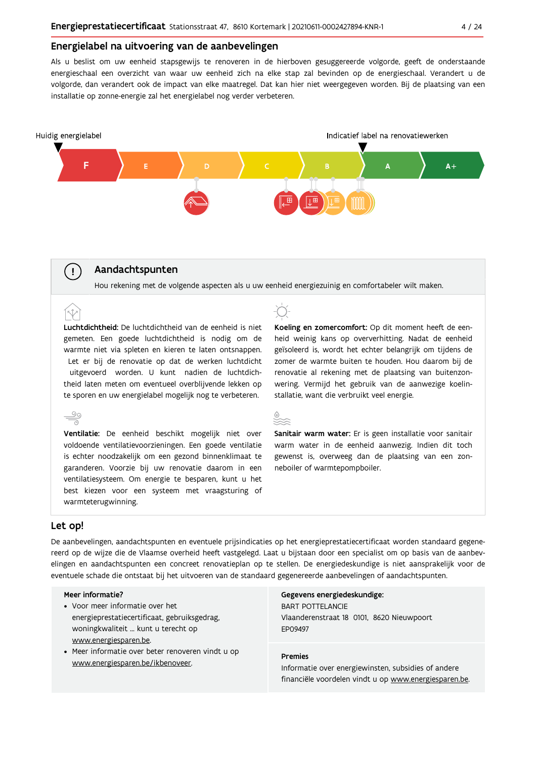#### Energielabel na uitvoering van de aanbevelingen

Als u beslist om uw eenheid stapsgewijs te renoveren in de hierboven gesuggereerde volgorde, geeft de onderstaande energieschaal een overzicht van waar uw eenheid zich na elke stap zal bevinden op de energieschaal. Verandert u de volgorde, dan verandert ook de impact van elke maatregel. Dat kan hier niet weergegeven worden. Bij de plaatsing van een installatie op zonne-energie zal het energielabel nog verder verbeteren.



#### Aandachtspunten

Hou rekening met de volgende aspecten als u uw eenheid energiezuinig en comfortabeler wilt maken.

Luchtdichtheid: De luchtdichtheid van de eenheid is niet gemeten. Een goede luchtdichtheid is nodig om de warmte niet via spleten en kieren te laten ontsnappen. Let er bij de renovatie op dat de werken luchtdicht uitgevoerd worden. U kunt nadien de luchtdichtheid laten meten om eventueel overblijvende lekken op te sporen en uw energielabel mogelijk nog te verbeteren.

 $\stackrel{\circ}{\equiv}$ Ventilatie: De eenheid beschikt mogelijk niet over voldoende ventilatievoorzieningen. Een goede ventilatie is echter noodzakelijk om een gezond binnenklimaat te garanderen. Voorzie bij uw renovatie daarom in een ventilatiesysteem. Om energie te besparen, kunt u het best kiezen voor een systeem met vraagsturing of warmteterugwinning.

Koeling en zomercomfort: Op dit moment heeft de eenheid weinig kans op oververhitting. Nadat de eenheid geïsoleerd is, wordt het echter belangrijk om tijdens de zomer de warmte buiten te houden. Hou daarom bij de renovatie al rekening met de plaatsing van buitenzonwering. Vermijd het gebruik van de aanwezige koelinstallatie, want die verbruikt veel energie.

|         | . . | . .    |  |
|---------|-----|--------|--|
|         | ٠   | e e    |  |
| ×<br>M. | ٠   | ٠<br>v |  |
|         |     |        |  |

Sanitair warm water: Er is geen installatie voor sanitair warm water in de eenheid aanwezig. Indien dit toch gewenst is, overweeg dan de plaatsing van een zonneboiler of warmtepompboiler.

#### Let op!

 $\left(\begin{array}{c} 1 \end{array}\right)$ 

De aanbevelingen, aandachtspunten en eventuele prijsindicaties op het energieprestatiecertificaat worden standaard gegenereerd op de wijze die de Vlaamse overheid heeft vastgelegd. Laat u bijstaan door een specialist om op basis van de aanbevelingen en aandachtspunten een concreet renovatieplan op te stellen. De energiedeskundige is niet aansprakelijk voor de eventuele schade die ontstaat bij het uitvoeren van de standaard gegenereerde aanbevelingen of aandachtspunten.

#### Meer informatie?

- Voor meer informatie over het energieprestatiecertificaat, gebruiksgedrag, woningkwaliteit ... kunt u terecht op www.energiesparen.be.
- Meer informatie over beter renoveren vindt u op www.energiesparen.be/ikbenoveer.

#### Gegevens energiedeskundige:

**BART POTTELANCIE** Vlaanderenstraat 18 0101, 8620 Nieuwpoort EP09497

#### **Premies**

Informatie over energiewinsten, subsidies of andere financiële voordelen vindt u op www.energiesparen.be.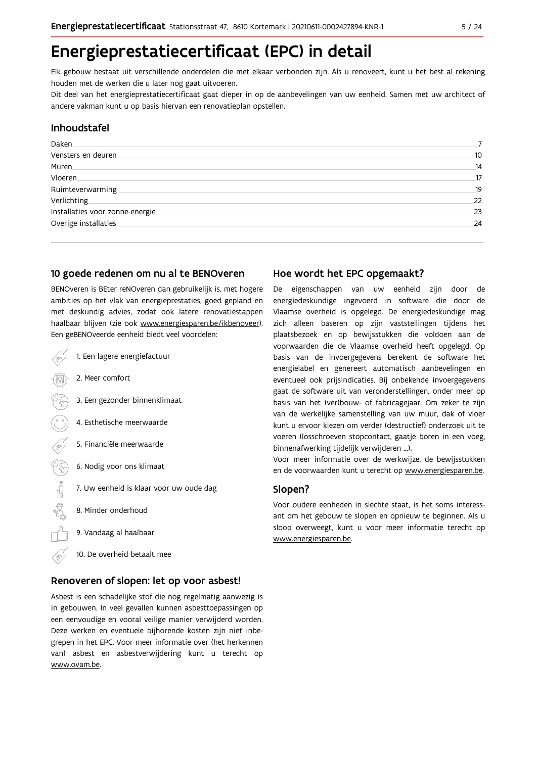# Energieprestatiecertificaat (EPC) in detail

Elk gebouw bestaat uit verschillende onderdelen die met elkaar verbonden zijn. Als u renoveert, kunt u het best al rekening houden met de werken die u later nog gaat uitvoeren.

Dit deel van het energieprestatiecertificaat gaat dieper in op de aanbevelingen van uw eenheid. Samen met uw architect of andere vakman kunt u op basis hiervan een renovatieplan opstellen.

### Inhoudstafel

| Daken.                          |    |
|---------------------------------|----|
| Vensters en deuren              | 10 |
| Muren.                          | 14 |
| Vloeren                         | 17 |
| Ruimteverwarming                | 19 |
| Verlichting                     | 22 |
| Installaties voor zonne-energie | 23 |
| Overige installaties            | 24 |
|                                 |    |

### 10 goede redenen om nu al te BENOveren

BENOveren is BEter reNOveren dan gebruikelijk is, met hogere ambities op het vlak van energieprestaties, goed gepland en met deskundig advies, zodat ook latere renovatiestappen haalbaar blijven (zie ook www.energiesparen.be/ikbenoveer). Een geBENOveerde eenheid biedt veel voordelen:

- 1. Een lagere energiefactuur 2. Meer comfort 3. Een gezonder binnenklimaat 4. Esthetische meerwaarde 5. Financiële meerwaarde  $\frac{1}{2}$ 6. Nodig voor ons klimaat 7. Uw eenheid is klaar voor uw oude dag 8. Minder onderhoud 9. Vandaag al haalbaar
	- 10. De overheid betaalt mee

#### Renoveren of slopen: let op voor asbest!

Asbest is een schadelijke stof die nog regelmatig aanwezig is in gebouwen. In veel gevallen kunnen asbesttoepassingen op een eenvoudige en vooral veilige manier verwijderd worden. Deze werken en eventuele bijhorende kosten zijn niet inbegrepen in het EPC. Voor meer informatie over (het herkennen van) asbest en asbestverwijdering kunt u terecht op www.ovam.be.

### Hoe wordt het EPC opgemaakt?

De eigenschappen van uw eenheid zijn door de energiedeskundige ingevoerd in software die door de Vlaamse overheid is opgelegd. De energiedeskundige mag zich alleen baseren op zijn vaststellingen tijdens het plaatsbezoek en op bewijsstukken die voldoen aan de voorwaarden die de Vlaamse overheid heeft opgelegd. Op basis van de invoergegevens berekent de software het energielabel en genereert automatisch aanbevelingen en eventueel ook prijsindicaties. Bij onbekende invoergegevens gaat de software uit van veronderstellingen, onder meer op basis van het (ver)bouw- of fabricagejaar. Om zeker te zijn van de werkelijke samenstelling van uw muur, dak of vloer kunt u ervoor kiezen om verder (destructief) onderzoek uit te voeren (losschroeven stopcontact, gaatje boren in een voeg, binnenafwerking tijdelijk verwijderen ...).

Voor meer informatie over de werkwijze, de bewijsstukken en de voorwaarden kunt u terecht op www.energiesparen.be.

#### Slopen?

Voor oudere eenheden in slechte staat, is het soms interessant om het gebouw te slopen en opnieuw te beginnen. Als u sloop overweegt, kunt u voor meer informatie terecht op www.energiesparen.be.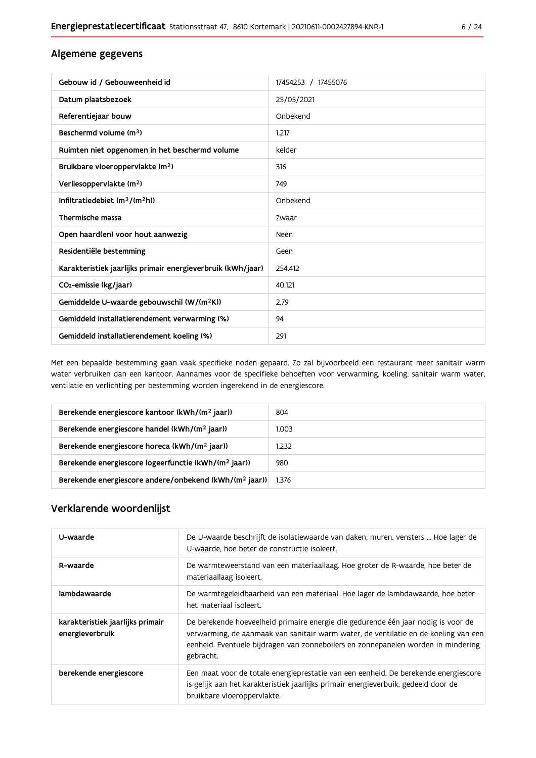### Algemene gegevens

| Gebouw id / Gebouweenheid id                                | 17454253 / 17455076 |
|-------------------------------------------------------------|---------------------|
| Datum plaatsbezoek                                          | 25/05/2021          |
| Referentiejaar bouw                                         | Onbekend            |
| Beschermd volume (m <sup>3</sup> )                          | 1.217               |
| Ruimten niet opgenomen in het beschermd volume              | kelder              |
| Bruikbare vloeroppervlakte (m <sup>2</sup> )                | 316                 |
| Verliesoppervlakte (m <sup>2</sup> )                        | 749                 |
| Infiltratiedebiet $(m^3/(m^2h))$                            | Onbekend            |
| Thermische massa                                            | Zwaar               |
| Open haard(en) voor hout aanwezig                           | Neen                |
| Residentiële bestemming                                     | Geen                |
| Karakteristiek jaarlijks primair energieverbruik (kWh/jaar) | 254.412             |
| CO <sub>2</sub> -emissie (kg/jaar)                          | 40.121              |
| Gemiddelde U-waarde gebouwschil (W/(m <sup>2</sup> K))      | 2.79                |
| Gemiddeld installatierendement verwarming (%)               | 94                  |
| Gemiddeld installatierendement koeling (%)                  | 291                 |

Met een bepaalde bestemming gaan vaak specifieke noden gepaard. Zo zal bijvoorbeeld een restaurant meer sanitair warm water verbruiken dan een kantoor. Aannames voor de specifieke behoeften voor verwarming, koeling, sanitair warm water, ventilatie en verlichting per bestemming worden ingerekend in de energiescore.

| Berekende energiescore kantoor (kWh/(m <sup>2</sup> jaar))         | 804   |
|--------------------------------------------------------------------|-------|
| Berekende energiescore handel (kWh/(m <sup>2</sup> jaar))          | 1.003 |
| Berekende energiescore horeca (kWh/(m <sup>2</sup> jaar))          | 1.232 |
| Berekende energiescore logeerfunctie (kWh/(m <sup>2</sup> jaar))   | 980   |
| Berekende energiescore andere/onbekend (kWh/(m <sup>2</sup> jaar)) | 1.376 |

### Verklarende woordenlijst

| U-waarde                                            | De U-waarde beschrijft de isolatiewaarde van daken, muren, vensters  Hoe lager de<br>U-waarde, hoe beter de constructie isoleert.                                                                                                                                          |
|-----------------------------------------------------|----------------------------------------------------------------------------------------------------------------------------------------------------------------------------------------------------------------------------------------------------------------------------|
| R-waarde                                            | De warmteweerstand van een materiaallaag. Hoe groter de R-waarde, hoe beter de<br>materiaallaag isoleert.                                                                                                                                                                  |
| lambdawaarde                                        | De warmtegeleidbaarheid van een materiaal. Hoe lager de lambdawaarde, hoe beter<br>het materiaal isoleert.                                                                                                                                                                 |
| karakteristiek jaarlijks primair<br>energieverbruik | De berekende hoeveelheid primaire energie die gedurende één jaar nodig is voor de<br>verwarming, de aanmaak van sanitair warm water, de ventilatie en de koeling van een<br>eenheid. Eventuele bijdragen van zonneboilers en zonnepanelen worden in mindering<br>gebracht. |
| berekende energiescore                              | Een maat voor de totale energieprestatie van een eenheid. De berekende energiescore<br>is gelijk aan het karakteristiek jaarlijks primair energieverbuik, gedeeld door de<br>bruikbare vloeroppervlakte.                                                                   |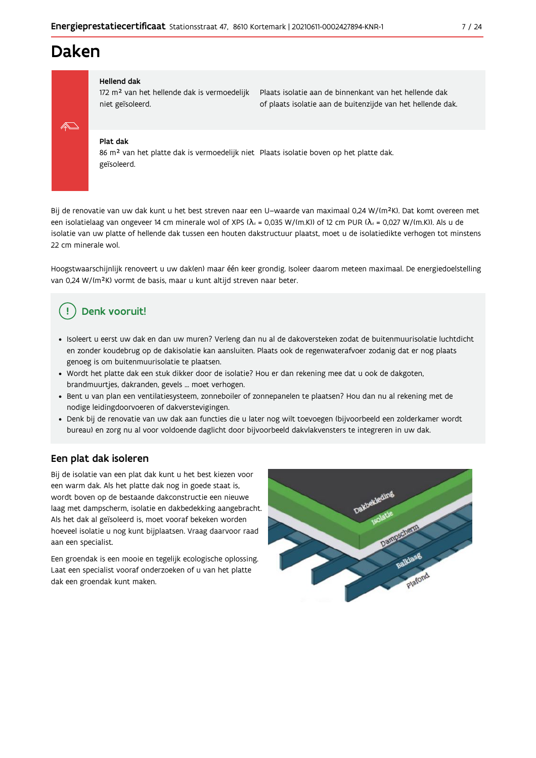# **Daken**



#### **Hellend dak**

172 m<sup>2</sup> van het hellende dak is vermoedelijk niet geïsoleerd.

Plaats isolatie aan de binnenkant van het hellende dak of plaats isolatie aan de buitenzijde van het hellende dak.

#### Plat dak

86 m<sup>2</sup> van het platte dak is vermoedelijk niet Plaats isolatie boven op het platte dak. geïsoleerd.

Bij de renovatie van uw dak kunt u het best streven naar een U-waarde van maximaal 0,24 W/(m<sup>2</sup>K). Dat komt overeen met een isolatielaag van ongeveer 14 cm minerale wol of XPS ( $\lambda_a$  = 0,035 W/(m.K)) of 12 cm PUR ( $\lambda_a$  = 0,027 W/(m.K)). Als u de isolatie van uw platte of hellende dak tussen een houten dakstructuur plaatst, moet u de isolatiedikte verhogen tot minstens 22 cm minerale wol.

Hoogstwaarschijnlijk renoveert u uw dak(en) maar één keer grondig. Isoleer daarom meteen maximaal. De energiedoelstelling van 0,24 W/(m<sup>2</sup>K) vormt de basis, maar u kunt altijd streven naar beter.

### Denk vooruit!

- · Isoleert u eerst uw dak en dan uw muren? Verleng dan nu al de dakoversteken zodat de buitenmuurisolatie luchtdicht en zonder koudebrug op de dakisolatie kan aansluiten. Plaats ook de regenwaterafvoer zodanig dat er nog plaats genoeg is om buitenmuurisolatie te plaatsen.
- · Wordt het platte dak een stuk dikker door de isolatie? Hou er dan rekening mee dat u ook de dakgoten, brandmuurtjes, dakranden, gevels ... moet verhogen.
- · Bent u van plan een ventilatiesysteem, zonneboiler of zonnepanelen te plaatsen? Hou dan nu al rekening met de nodige leidingdoorvoeren of dakverstevigingen.
- · Denk bij de renovatie van uw dak aan functies die u later nog wilt toevoegen (bijvoorbeeld een zolderkamer wordt bureau) en zorg nu al voor voldoende daglicht door bijvoorbeeld dakvlakvensters te integreren in uw dak.

#### Een plat dak isoleren

Bij de isolatie van een plat dak kunt u het best kiezen voor een warm dak. Als het platte dak nog in goede staat is, wordt boven op de bestaande dakconstructie een nieuwe laag met dampscherm, isolatie en dakbedekking aangebracht. Als het dak al geïsoleerd is, moet vooraf bekeken worden hoeveel isolatie u nog kunt bijplaatsen. Vraag daarvoor raad aan een specialist.

Een groendak is een mooie en tegelijk ecologische oplossing. Laat een specialist vooraf onderzoeken of u van het platte dak een groendak kunt maken.

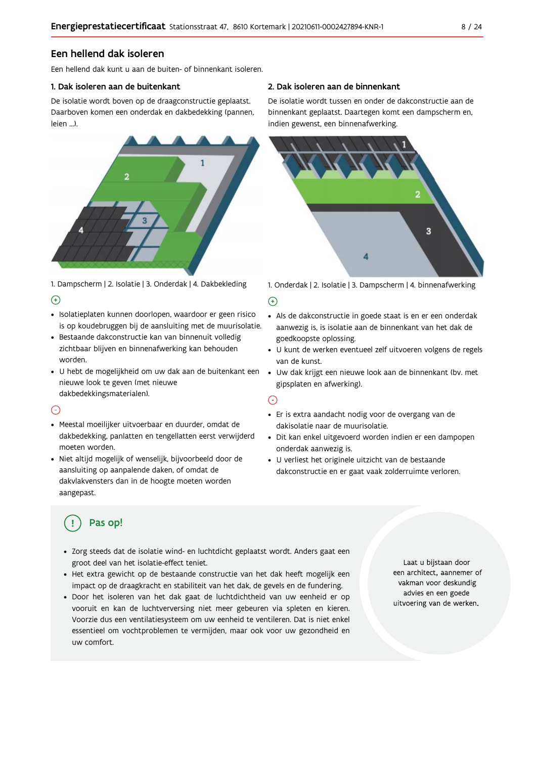### Een hellend dak isoleren

Fen hellend dak kunt u aan de buiten- of binnenkant isoleren.

#### 1. Dak isoleren aan de buitenkant

De isolatie wordt boven op de draagconstructie geplaatst. Daarboven komen een onderdak en dakbedekking (pannen, leien J



1. Dampscherm | 2. Isolatie | 3. Onderdak | 4. Dakbekleding  $\Theta$ 

- · Isolatieplaten kunnen doorlopen, waardoor er geen risico is op koudebruggen bij de aansluiting met de muurisolatie.
- · Bestaande dakconstructie kan van binnenuit volledig zichtbaar blijven en binnenafwerking kan behouden worden.
- · U hebt de mogelijkheid om uw dak aan de buitenkant een nieuwe look te geven (met nieuwe dakbedekkingsmaterialen).

#### $\bigcap$

- · Meestal moeilijker uitvoerbaar en duurder, omdat de dakbedekking, panlatten en tengellatten eerst verwijderd moeten worden.
- · Niet altijd mogelijk of wenselijk, bijvoorbeeld door de aansluiting op aanpalende daken, of omdat de dakvlakvensters dan in de hoogte moeten worden aangepast.

#### 2. Dak isoleren aan de binnenkant

De isolatie wordt tussen en onder de dakconstructie aan de binnenkant geplaatst. Daartegen komt een dampscherm en, indien gewenst, een binnenafwerking.



1. Onderdak | 2. Isolatie | 3. Dampscherm | 4. binnenafwerking

#### $\bigoplus$

- Als de dakconstructie in goede staat is en er een onderdak aanwezig is, is isolatie aan de binnenkant van het dak de goedkoopste oplossing.
- · U kunt de werken eventueel zelf uitvoeren volgens de regels van de kunst.
- · Uw dak krijgt een nieuwe look aan de binnenkant (bv. met gipsplaten en afwerking).

#### ⊙

- · Er is extra aandacht nodig voor de overgang van de dakisolatie naar de muurisolatie.
- · Dit kan enkel uitgevoerd worden indien er een dampopen onderdak aanwezig is.
- · U verliest het originele uitzicht van de bestaande dakconstructie en er gaat vaak zolderruimte verloren.

# Pas op!

- · Zorg steeds dat de isolatie wind- en luchtdicht geplaatst wordt. Anders gaat een groot deel van het isolatie-effect teniet.
- · Het extra gewicht op de bestaande constructie van het dak heeft mogelijk een impact op de draagkracht en stabiliteit van het dak, de gevels en de fundering.
- · Door het isoleren van het dak gaat de luchtdichtheid van uw eenheid er op vooruit en kan de luchtverversing niet meer gebeuren via spleten en kieren. Voorzie dus een ventilatiesysteem om uw eenheid te ventileren. Dat is niet enkel essentieel om vochtproblemen te vermijden, maar ook voor uw gezondheid en uw comfort.

Laat u bijstaan door een architect, aannemer of vakman voor deskundig advies en een goede uitvoering van de werken.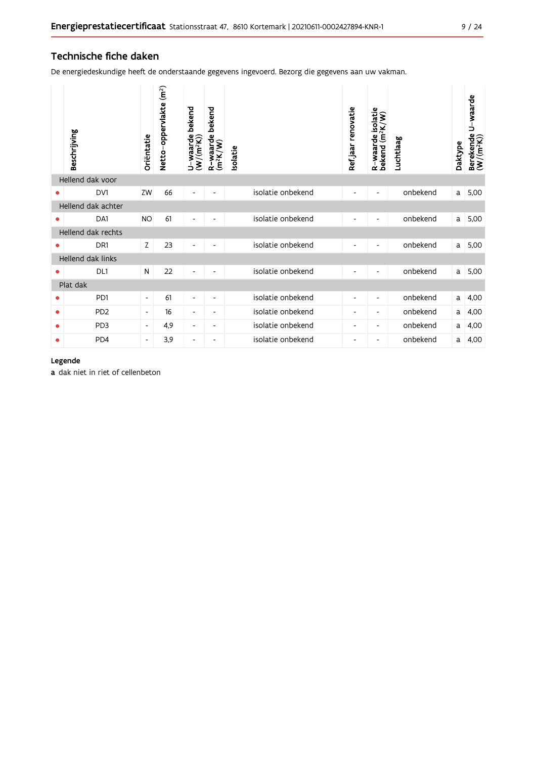### Technische fiche daken

De energiedeskundige heeft de onderstaande gegevens ingevoerd. Bezorg die gegevens aan uw vakman.

|   | Beschrijving       | Oriëntatie               | Netto-oppervlakte (m <sup>2</sup> ) | bekend<br>U-waarde l<br>(W/(m <sup>2</sup> K)) | bekend<br>R-waarde l<br>(m <sup>2</sup> K/W) | <b>Isolatie</b>   | Refjaar renovatie        | R-waarde isolatie<br>bekend (m <sup>2</sup> K/W) | Luchtlaag | Daktype | U-waarde<br>Berekende l<br>(W/(m <sup>2</sup> K)) |
|---|--------------------|--------------------------|-------------------------------------|------------------------------------------------|----------------------------------------------|-------------------|--------------------------|--------------------------------------------------|-----------|---------|---------------------------------------------------|
|   | Hellend dak voor   |                          |                                     |                                                |                                              |                   |                          |                                                  |           |         |                                                   |
|   | DV1                | ZW                       | 66                                  |                                                |                                              | isolatie onbekend |                          | $\blacksquare$                                   | onbekend  | a       | 5,00                                              |
|   | Hellend dak achter |                          |                                     |                                                |                                              |                   |                          |                                                  |           |         |                                                   |
|   | DA1                | <b>NO</b>                | 61                                  | $\overline{\phantom{a}}$                       |                                              | isolatie onbekend |                          |                                                  | onbekend  | a       | 5,00                                              |
|   | Hellend dak rechts |                          |                                     |                                                |                                              |                   |                          |                                                  |           |         |                                                   |
| 0 | DR <sub>1</sub>    | Z                        | 23                                  | $\overline{\phantom{a}}$                       |                                              | isolatie onbekend |                          | $\overline{\phantom{a}}$                         | onbekend  | a       | 5,00                                              |
|   | Hellend dak links  |                          |                                     |                                                |                                              |                   |                          |                                                  |           |         |                                                   |
|   | DL1                | N                        | 22                                  |                                                |                                              | isolatie onbekend |                          |                                                  | onbekend  | a       | 5,00                                              |
|   | Plat dak           |                          |                                     |                                                |                                              |                   |                          |                                                  |           |         |                                                   |
|   | P <sub>D</sub> 1   | $\overline{\phantom{a}}$ | 61                                  | $\overline{\phantom{a}}$                       | $\overline{\phantom{a}}$                     | isolatie onbekend | $\overline{\phantom{a}}$ | $\overline{\phantom{a}}$                         | onbekend  | a       | 4,00                                              |
| ۰ | PD <sub>2</sub>    | $\overline{\phantom{a}}$ | 16                                  | $\overline{\phantom{a}}$                       | $\overline{\phantom{a}}$                     | isolatie onbekend | -                        | -                                                | onbekend  | a       | 4,00                                              |
| ۰ | PD <sub>3</sub>    | $\overline{\phantom{a}}$ | 4,9                                 | $\overline{\phantom{a}}$                       | $\overline{\phantom{a}}$                     | isolatie onbekend | -                        | -                                                | onbekend  | a       | 4,00                                              |
| ٠ | P <sub>D</sub> 4   | $\overline{\phantom{a}}$ | 3,9                                 | $\overline{\phantom{a}}$                       | $\overline{\phantom{a}}$                     | isolatie onbekend | -                        | -                                                | onbekend  | a       | 4,00                                              |

#### Legende

a dak niet in riet of cellenbeton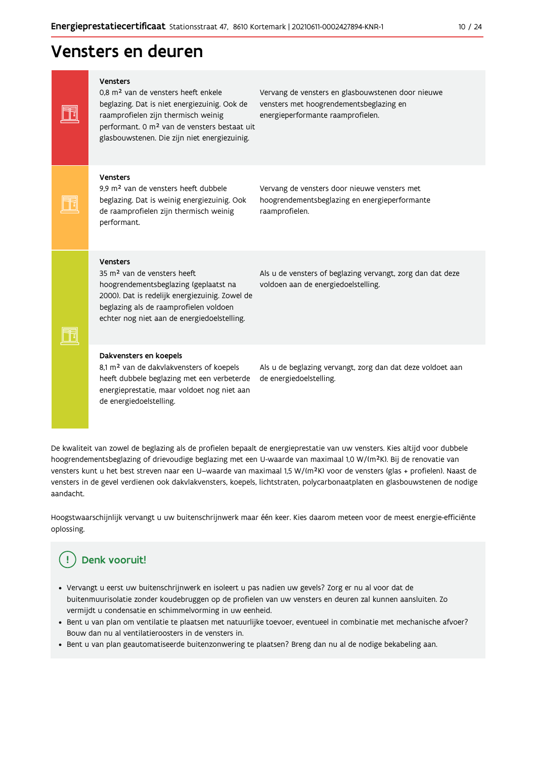# Vensters en deuren

| <b>Vensters</b><br>0.8 m <sup>2</sup> van de vensters heeft enkele<br>beglazing. Dat is niet energiezuinig. Ook de<br>raamprofielen zijn thermisch weinig<br>performant. 0 m <sup>2</sup> van de vensters bestaat uit<br>glasbouwstenen. Die zijn niet energiezuinig. | Vervang de vensters en glasbouwstenen door nieuwe<br>vensters met hoogrendementsbeglazing en<br>energieperformante raamprofielen. |
|-----------------------------------------------------------------------------------------------------------------------------------------------------------------------------------------------------------------------------------------------------------------------|-----------------------------------------------------------------------------------------------------------------------------------|
| <b>Vensters</b><br>9,9 m <sup>2</sup> van de vensters heeft dubbele<br>beglazing. Dat is weinig energiezuinig. Ook<br>de raamprofielen zijn thermisch weinig<br>performant.                                                                                           | Vervang de vensters door nieuwe vensters met<br>hoogrendementsbeglazing en energieperformante<br>raamprofielen.                   |
| <b>Vensters</b><br>35 m <sup>2</sup> van de vensters heeft<br>hoogrendementsbeglazing (geplaatst na<br>2000). Dat is redelijk energiezuinig. Zowel de<br>beglazing als de raamprofielen voldoen<br>echter nog niet aan de energiedoelstelling.                        | Als u de vensters of beglazing vervangt, zorg dan dat deze<br>voldoen aan de energiedoelstelling.                                 |
| Dakvensters en koepels<br>8,1 m <sup>2</sup> van de dakvlakvensters of koepels<br>heeft dubbele beglazing met een verbeterde<br>energieprestatie, maar voldoet nog niet aan<br>de energiedoelstelling.                                                                | Als u de beglazing vervangt, zorg dan dat deze voldoet aan<br>de energiedoelstelling.                                             |

De kwaliteit van zowel de beglazing als de profielen bepaalt de energieprestatie van uw vensters. Kies altijd voor dubbele hoogrendementsbeglazing of drievoudige beglazing met een U-waarde van maximaal 1,0 W/(m<sup>2</sup>K). Bij de renovatie van vensters kunt u het best streven naar een U-waarde van maximaal 1,5 W/(m<sup>2</sup>K) voor de vensters (glas + profielen). Naast de vensters in de gevel verdienen ook dakvlakvensters, koepels, lichtstraten, polycarbonaatplaten en glasbouwstenen de nodige aandacht.

Hoogstwaarschijnlijk vervangt u uw buitenschrijnwerk maar één keer. Kies daarom meteen voor de meest energie-efficiënte oplossing.

#### Denk vooruit!  $\left( \begin{array}{c} 1 \end{array} \right)$

- · Vervangt u eerst uw buitenschrijnwerk en isoleert u pas nadien uw gevels? Zorg er nu al voor dat de buitenmuurisolatie zonder koudebruggen op de profielen van uw vensters en deuren zal kunnen aansluiten. Zo vermijdt u condensatie en schimmelvorming in uw eenheid.
- Bent u van plan om ventilatie te plaatsen met natuurlijke toevoer, eventueel in combinatie met mechanische afvoer? Bouw dan nu al ventilatieroosters in de vensters in.
- · Bent u van plan geautomatiseerde buitenzonwering te plaatsen? Breng dan nu al de nodige bekabeling aan.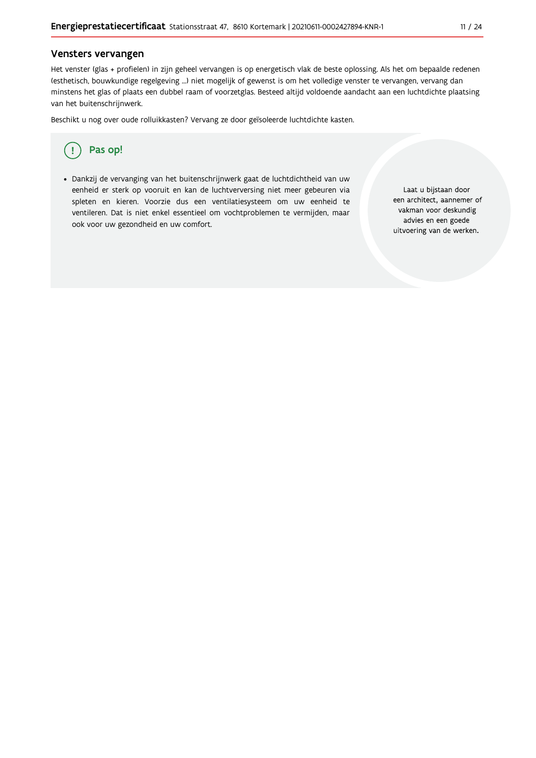#### Vensters vervangen

Het venster (glas + profielen) in zijn geheel vervangen is op energetisch vlak de beste oplossing. Als het om bepaalde redenen (esthetisch, bouwkundige regelgeving ...) niet mogelijk of gewenst is om het volledige venster te vervangen, vervang dan minstens het glas of plaats een dubbel raam of voorzetglas. Besteed altijd voldoende aandacht aan een luchtdichte plaatsing van het buitenschrijnwerk.

Beschikt u nog over oude rolluikkasten? Vervang ze door geïsoleerde luchtdichte kasten.



· Dankzij de vervanging van het buitenschrijnwerk gaat de luchtdichtheid van uw eenheid er sterk op vooruit en kan de luchtverversing niet meer gebeuren via spleten en kieren. Voorzie dus een ventilatiesysteem om uw eenheid te ventileren. Dat is niet enkel essentieel om vochtproblemen te vermijden, maar ook voor uw gezondheid en uw comfort.

Laat u bijstaan door een architect, aannemer of vakman voor deskundig advies en een goede uitvoering van de werken.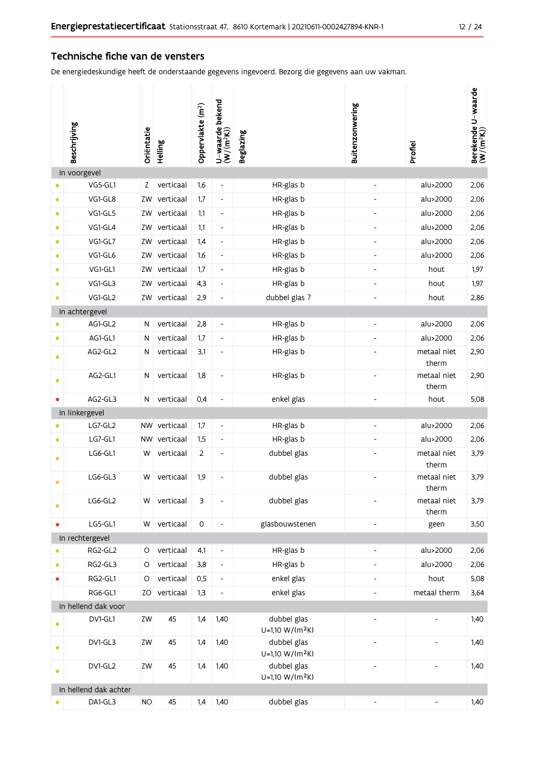#### Technische fiche van de vensters

De energiedeskundige heeft de onderstaande gegevens ingevoerd. Bezorg die gegevens aan uw vakman.

|           | Beschrijving          | Oriëntatie | Helling      | Oppervlakte (m <sup>2</sup> ) | U-waarde bekend<br>(W/(m <sup>2</sup> K)) | <b>Beglazing</b>                           | Buitenzonwering              | Profiel                  | Berekende U-waarde<br>(W/(m <sup>2</sup> K)) |
|-----------|-----------------------|------------|--------------|-------------------------------|-------------------------------------------|--------------------------------------------|------------------------------|--------------------------|----------------------------------------------|
|           | In voorgevel          |            |              |                               |                                           |                                            |                              |                          |                                              |
|           | VG5-GL1               | Z          | verticaal    | 1,6                           | $\overline{\phantom{a}}$                  | HR-glas b                                  |                              | alu>2000                 | 2,06                                         |
| $\bullet$ | VG1-GL8               | ZW         | verticaal    | 1,7                           | $\overline{\phantom{a}}$                  | HR-glas b                                  |                              | alu>2000                 | 2,06                                         |
| $\bullet$ | VG1-GL5               | ZW         | verticaal    | 1,1                           | $\overline{\phantom{a}}$                  | HR-glas b                                  | $\overline{\phantom{a}}$     | alu>2000                 | 2,06                                         |
| $\bullet$ | VG1-GL4               | ZW         | verticaal    | 1,1                           | $\overline{\phantom{a}}$                  | HR-glas b                                  | $\overline{\phantom{a}}$     | alu>2000                 | 2,06                                         |
| $\bullet$ | VG1-GL7               | ZW         | verticaal    | 1,4                           | $\overline{\phantom{a}}$                  | HR-glas b                                  | $\overline{\phantom{a}}$     | alu>2000                 | 2,06                                         |
| $\bullet$ | VG1-GL6               | ZW         | verticaal    | 1,6                           | $\overline{\phantom{a}}$                  | HR-glas b                                  | $\overline{\phantom{a}}$     | alu>2000                 | 2,06                                         |
| $\bullet$ | VG1-GL1               | ZW         | verticaal    | 1,7                           | $\overline{\phantom{a}}$                  | HR-glas b                                  | $\overline{\phantom{a}}$     | hout                     | 1,97                                         |
| $\bullet$ | VG1-GL3               | ZW         | verticaal    | 4,3                           | $\overline{\phantom{a}}$                  | HR-glas b                                  | $\overline{\phantom{a}}$     | hout                     | 1,97                                         |
| $\bullet$ | VG1-GL2               | ZW         | verticaal    | 2,9                           | $\overline{a}$                            | dubbel glas ?                              | $\overline{\phantom{a}}$     | hout                     | 2,86                                         |
|           | In achtergevel        |            |              |                               |                                           |                                            |                              |                          |                                              |
| $\bullet$ | AG1-GL2               | N          | verticaal    | 2,8                           | $\overline{\phantom{a}}$                  | HR-glas b                                  | $\overline{\phantom{a}}$     | alu>2000                 | 2,06                                         |
| $\bullet$ | AG1-GL1               | ${\sf N}$  | verticaal    | 1,7                           | $\overline{\phantom{a}}$                  | HR-glas b                                  |                              | alu>2000                 | 2,06                                         |
| $\bullet$ | AG2-GL2               | N          | verticaal    | 3,1                           | $\centerdot$                              | HR-glas b                                  |                              | metaal niet<br>therm     | 2,90                                         |
| $\bullet$ | AG2-GL1               | N          | verticaal    | 1,8                           | $\overline{\phantom{a}}$                  | HR-glas b                                  |                              | metaal niet<br>therm     | 2,90                                         |
| ٠         | AG2-GL3               | ${\sf N}$  | verticaal    | 0,4                           | $\overline{\phantom{a}}$                  | enkel glas                                 | $\overline{\phantom{a}}$     | hout                     | 5,08                                         |
|           | In linkergevel        |            |              |                               |                                           |                                            |                              |                          |                                              |
|           | LG7-GL2               |            | NW verticaal | 1,7                           | $\overline{\phantom{a}}$                  | HR-glas b                                  | $\overline{\phantom{a}}$     | alu>2000                 | 2,06                                         |
| $\bullet$ | LG7-GL1               |            | NW verticaal | 1,5                           | $\overline{\phantom{a}}$                  | HR-glas b                                  |                              | alu>2000                 | 2,06                                         |
| ۰         | LG6-GL1               | W          | verticaal    | $\overline{2}$                | $\overline{\phantom{a}}$                  | dubbel glas                                |                              | metaal niet<br>therm     | 3,79                                         |
|           | LG6-GL3               | W          | verticaal    | 1,9                           | $\qquad \qquad \blacksquare$              | dubbel glas                                |                              | metaal niet<br>therm     | 3,79                                         |
| $\bullet$ | LG6-GL2               | W          | verticaal    | 3                             | $\overline{\phantom{a}}$                  | dubbel glas                                |                              | metaal niet<br>therm     | 3,79                                         |
| $\bullet$ | LG5-GL1               | W          | verticaal    | 0                             | $\overline{\phantom{a}}$                  | glasbouwstenen                             | $\overline{\phantom{a}}$     | geen                     | 3,50                                         |
|           | In rechtergevel       |            |              |                               |                                           |                                            |                              |                          |                                              |
|           | RG2-GL2               | $\circ$    | verticaal    | 4,1                           | $\overline{\phantom{a}}$                  | HR-glas b                                  | $\overline{\phantom{a}}$     | alu>2000                 | 2,06                                         |
| $\bullet$ | RG2-GL3               | O          | verticaal    | 3,8                           | $\overline{\phantom{a}}$                  | HR-glas b                                  | $\overline{\phantom{a}}$     | alu>2000                 | 2,06                                         |
| $\bullet$ | RG2-GL1               | $\circ$    | verticaal    | 0,5                           | $\overline{\phantom{a}}$                  | enkel glas                                 | $\overline{\phantom{a}}$     | hout                     | 5,08                                         |
|           | RG6-GL1               | ZO         | verticaal    | 1,3                           | $\qquad \qquad \blacksquare$              | enkel glas                                 | $\qquad \qquad \blacksquare$ | metaal therm             | 3,64                                         |
|           | In hellend dak voor   |            |              |                               |                                           |                                            |                              |                          |                                              |
|           | DV1-GL1               | ZW         | 45           | 1,4                           | 1,40                                      | dubbel glas<br>$U=1,10 W/(m^2K)$           |                              | $\qquad \qquad -$        | 1,40                                         |
| $\bullet$ | DV1-GL3               | ZW         | 45           | 1,4                           | 1,40                                      | dubbel glas<br>$U=1,10 W/(m^2K)$           | $\overline{\phantom{a}}$     | $\overline{\phantom{a}}$ | 1,40                                         |
| $\bullet$ | DV1-GL2               | ZW         | 45           | 1,4                           | 1,40                                      | dubbel glas<br>U=1,10 W/(m <sup>2</sup> K) |                              |                          | 1,40                                         |
|           | In hellend dak achter |            |              |                               |                                           |                                            |                              |                          |                                              |
|           | DA1-GL3               | <b>NO</b>  | 45           | 1,4                           | 1,40                                      | dubbel glas                                | $\overline{\phantom{a}}$     | $\overline{\phantom{a}}$ | 1,40                                         |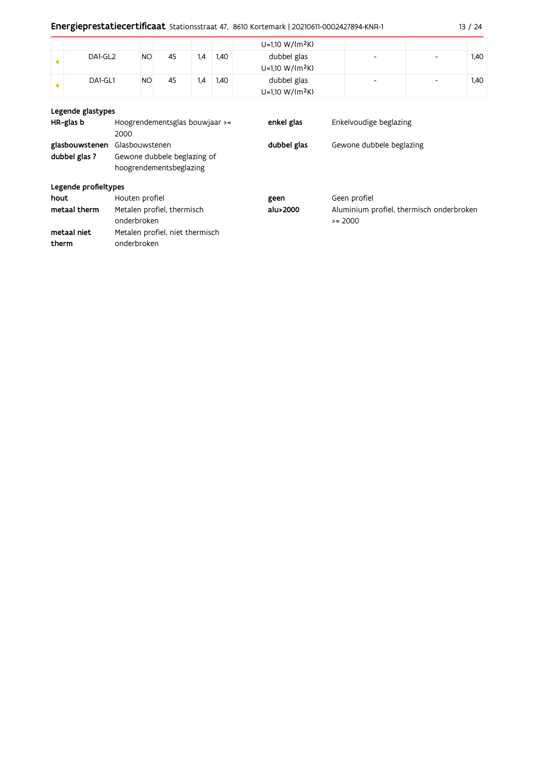|           |                   |           |    |     |      | $U=1,10 W/(m^2K)$                |                          |                          |      |  |
|-----------|-------------------|-----------|----|-----|------|----------------------------------|--------------------------|--------------------------|------|--|
| $\bullet$ | DA1-GL2           | NO        | 45 | 1,4 | 1,40 | dubbel glas<br>$U=1,10 W/(m^2K)$ | ٠                        | $\overline{\phantom{a}}$ | 1,40 |  |
| $\bullet$ | DA1-GL1           | <b>NO</b> | 45 | 1,4 | 1,40 | dubbel glas<br>$U=1,10 W/(m^2K)$ | $\overline{\phantom{0}}$ | $\overline{\phantom{a}}$ | 1,40 |  |
|           | Legende glastypes |           |    |     |      |                                  |                          |                          |      |  |

| HR-glas b                       | Hoogrendementsglas bouwjaar >=<br>2000                                   | enkel glas  | Enkelvoudige beglazing                                 |
|---------------------------------|--------------------------------------------------------------------------|-------------|--------------------------------------------------------|
| glasbouwstenen<br>dubbel glas ? | Glasbouwstenen<br>Gewone dubbele beglazing of<br>hoogrendementsbeglazing | dubbel glas | Gewone dubbele beglazing                               |
| Legende profieltypes            |                                                                          |             |                                                        |
| hout                            | Houten profiel                                                           | geen        | Geen profiel                                           |
| metaal therm                    | Metalen profiel, thermisch<br>onderbroken                                | alu>2000    | Aluminium profiel, thermisch onderbroken<br>$\ge 2000$ |
| metaal niet                     | Metalen profiel, niet thermisch                                          |             |                                                        |
| therm                           | onderbroken                                                              |             |                                                        |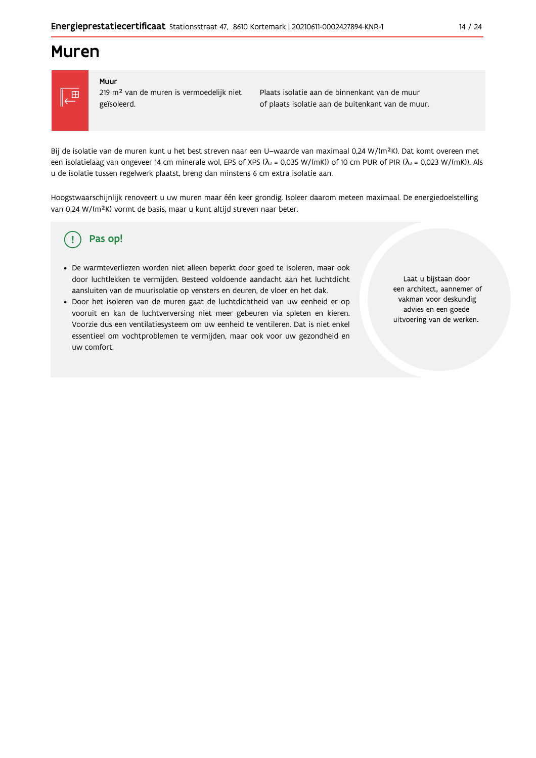### **Muren**



#### Muur

219 m<sup>2</sup> van de muren is vermoedelijk niet geïsoleerd.

Plaats isolatie aan de binnenkant van de muur of plaats isolatie aan de buitenkant van de muur.

Bij de isolatie van de muren kunt u het best streven naar een U-waarde van maximaal 0,24 W/(m<sup>2</sup>K). Dat komt overeen met een isolatielaag van ongeveer 14 cm minerale wol, EPS of XPS ( $\lambda_a$  = 0,035 W/(mK)) of 10 cm PUR of PIR ( $\lambda_a$  = 0,023 W/(mK)). Als u de isolatie tussen regelwerk plaatst, breng dan minstens 6 cm extra isolatie aan.

Hoogstwaarschijnlijk renoveert u uw muren maar één keer grondig. Isoleer daarom meteen maximaal. De energiedoelstelling van 0,24 W/(m<sup>2</sup>K) vormt de basis, maar u kunt altijd streven naar beter.

#### Pas op! (၂

- · De warmteverliezen worden niet alleen beperkt door goed te isoleren, maar ook door luchtlekken te vermijden. Besteed voldoende aandacht aan het luchtdicht aansluiten van de muurisolatie op vensters en deuren, de vloer en het dak.
- · Door het isoleren van de muren gaat de luchtdichtheid van uw eenheid er op vooruit en kan de luchtverversing niet meer gebeuren via spleten en kieren. Voorzie dus een ventilatiesysteem om uw eenheid te ventileren. Dat is niet enkel essentieel om vochtproblemen te vermijden, maar ook voor uw gezondheid en uw comfort.

Laat u bijstaan door een architect, aannemer of vakman voor deskundig advies en een goede uitvoering van de werken.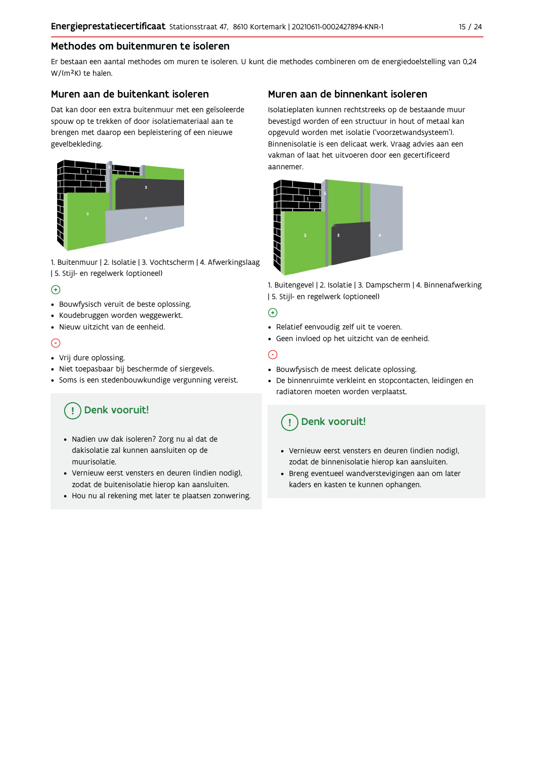### Methodes om buitenmuren te isoleren

Er bestaan een aantal methodes om muren te isoleren. U kunt die methodes combineren om de energiedoelstelling van 0,24 W/(m<sup>2</sup>K) te halen.

#### Muren aan de buitenkant isoleren

Dat kan door een extra buitenmuur met een geïsoleerde spouw op te trekken of door isolatiemateriaal aan te brengen met daarop een bepleistering of een nieuwe gevelbekleding.



1. Buitenmuur | 2. Isolatie | 3. Vochtscherm | 4. Afwerkingslaag | 5. Stijl- en regelwerk (optioneel)

### $\bigoplus$

- Bouwfysisch veruit de beste oplossing.
- · Koudebruggen worden weggewerkt.
- · Nieuw uitzicht van de eenheid.

### $\odot$

- Vrij dure oplossing.
- · Niet toepasbaar bij beschermde of siergevels.
- Soms is een stedenbouwkundige vergunning vereist.

# Denk vooruit!

- · Nadien uw dak isoleren? Zorg nu al dat de dakisolatie zal kunnen aansluiten op de muurisolatie.
- · Vernieuw eerst vensters en deuren (indien nodig), zodat de buitenisolatie hierop kan aansluiten.
- Hou nu al rekening met later te plaatsen zonwering.

### Muren aan de binnenkant isoleren

Isolatieplaten kunnen rechtstreeks op de bestaande muur bevestigd worden of een structuur in hout of metaal kan opgevuld worden met isolatie ('voorzetwandsysteem'). Binnenisolatie is een delicaat werk. Vraag advies aan een vakman of laat het uitvoeren door een gecertificeerd aannemer



1. Buitengevel | 2. Isolatie | 3. Dampscherm | 4. Binnenafwerking | 5. Stijl- en regelwerk (optioneel)

#### $\bigoplus$

- Relatief eenvoudig zelf uit te voeren.
- · Geen invloed op het uitzicht van de eenheid.

### ⊝

- Bouwfysisch de meest delicate oplossing.
- · De binnenruimte verkleint en stopcontacten, leidingen en radiatoren moeten worden verplaatst.

# Denk vooruit!

- Vernieuw eerst vensters en deuren (indien nodig), zodat de binnenisolatie hierop kan aansluiten.
- · Breng eventueel wandverstevigingen aan om later kaders en kasten te kunnen ophangen.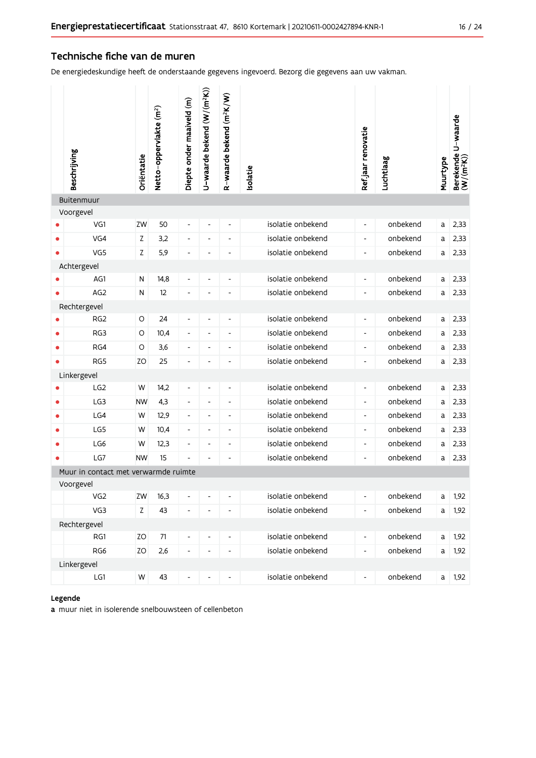#### Technische fiche van de muren

De energiedeskundige heeft de onderstaande gegevens ingevoerd. Bezorg die gegevens aan uw vakman.

|           | Beschrijving                         | Oriëntatie | Netto-oppervlakte (m <sup>2</sup> ) | Diepte onder maaiveld (m)    | U-waarde bekend (W/(m <sup>2</sup> K)) | R-waarde bekend (m <sup>2</sup> K/W) | solatie           | Ref jaar renovatie       | Luchtlaag | Muurtype    | Berekende U-waarde<br>(W/(m <sup>2</sup> K)) |
|-----------|--------------------------------------|------------|-------------------------------------|------------------------------|----------------------------------------|--------------------------------------|-------------------|--------------------------|-----------|-------------|----------------------------------------------|
|           | Buitenmuur                           |            |                                     |                              |                                        |                                      |                   |                          |           |             |                                              |
|           | Voorgevel                            |            |                                     |                              |                                        |                                      |                   |                          |           |             |                                              |
|           | VG1                                  | ZW         | 50                                  | $\qquad \qquad \blacksquare$ | $\overline{\phantom{a}}$               | $\blacksquare$                       | isolatie onbekend | $\overline{\phantom{a}}$ | onbekend  | a           | 2,33                                         |
| $\bullet$ | VG4                                  | Z          | 3,2                                 | $\overline{\phantom{0}}$     | $\overline{\phantom{a}}$               | $\blacksquare$                       | isolatie onbekend | $\overline{\phantom{a}}$ | onbekend  | а           | 2,33                                         |
|           | VG5                                  | Z          | 5,9                                 |                              | ٠                                      | $\overline{\phantom{a}}$             | isolatie onbekend | $\overline{\phantom{a}}$ | onbekend  | a           | 2,33                                         |
|           | Achtergevel<br>AG1                   |            |                                     |                              |                                        |                                      | isolatie onbekend |                          | onbekend  |             |                                              |
|           |                                      | N          | 14,8                                | $\overline{\phantom{0}}$     | $\qquad \qquad -$                      | $\qquad \qquad \blacksquare$         |                   | $\overline{\phantom{a}}$ |           | a           | 2,33                                         |
|           | AG <sub>2</sub>                      | ${\sf N}$  | 12                                  |                              | ٠                                      | $\overline{\phantom{a}}$             | isolatie onbekend | $\overline{\phantom{a}}$ | onbekend  | a           | 2,33                                         |
|           | Rechtergevel<br>RG <sub>2</sub>      | O          | 24                                  | -                            | $\qquad \qquad -$                      | $\overline{\phantom{a}}$             | isolatie onbekend | $\overline{\phantom{a}}$ | onbekend  | a           | 2,33                                         |
| $\bullet$ | RG3                                  | O          | 10,4                                | $\overline{\phantom{0}}$     | $\overline{\phantom{a}}$               | $\overline{\phantom{a}}$             | isolatie onbekend | $\overline{\phantom{a}}$ | onbekend  | a           | 2,33                                         |
| $\bullet$ | RG4                                  | O          | 3,6                                 | -                            | $\qquad \qquad \blacksquare$           | $\qquad \qquad \blacksquare$         | isolatie onbekend | $\overline{\phantom{a}}$ | onbekend  | a           | 2,33                                         |
|           | RG5                                  | ZO         | 25                                  | -                            | $\overline{\phantom{a}}$               | $\qquad \qquad \blacksquare$         | isolatie onbekend | $\overline{\phantom{a}}$ | onbekend  | a           | 2,33                                         |
|           | Linkergevel                          |            |                                     |                              |                                        |                                      |                   |                          |           |             |                                              |
|           | LG <sub>2</sub>                      | W          | 14,2                                | $\overline{\phantom{0}}$     | $\qquad \qquad \blacksquare$           | $\qquad \qquad \blacksquare$         | isolatie onbekend | $\overline{\phantom{a}}$ | onbekend  | $\mathsf a$ | 2,33                                         |
| $\bullet$ | LG <sub>3</sub>                      | <b>NW</b>  | 4,3                                 | $\overline{\phantom{0}}$     | $\overline{\phantom{0}}$               | $\overline{\phantom{a}}$             | isolatie onbekend | $\overline{\phantom{a}}$ | onbekend  | a           | 2,33                                         |
| ۰         | LG4                                  | W          | 12,9                                | $\overline{\phantom{0}}$     | $\overline{\phantom{a}}$               | $\overline{\phantom{a}}$             | isolatie onbekend | $\overline{\phantom{a}}$ | onbekend  | a           | 2,33                                         |
| ۰         | LG5                                  | W          | 10,4                                | $\overline{\phantom{0}}$     | $\overline{\phantom{a}}$               | $\overline{\phantom{a}}$             | isolatie onbekend | $\overline{\phantom{a}}$ | onbekend  | a           | 2,33                                         |
| $\bullet$ | LG6                                  | W          | 12,3                                | -                            | $\overline{\phantom{a}}$               | $\overline{\phantom{a}}$             | isolatie onbekend | $\overline{\phantom{a}}$ | onbekend  | a           | 2,33                                         |
| ٠         | LG7                                  | <b>NW</b>  | 15                                  | L,                           | L,                                     | $\qquad \qquad \blacksquare$         | isolatie onbekend | $\overline{\phantom{a}}$ | onbekend  | a           | 2,33                                         |
|           | Muur in contact met verwarmde ruimte |            |                                     |                              |                                        |                                      |                   |                          |           |             |                                              |
|           | Voorgevel                            |            |                                     |                              |                                        |                                      |                   |                          |           |             |                                              |
|           | VG <sub>2</sub>                      | ZW         | 16,3                                | -                            | $\overline{\phantom{0}}$               | $\overline{\phantom{0}}$             | isolatie onbekend | $\overline{\phantom{a}}$ | onbekend  | a           | 1,92                                         |
|           | VG3                                  | Z          | 43                                  | $\overline{\phantom{a}}$     | $\overline{\phantom{a}}$               | $\overline{\phantom{a}}$             | isolatie onbekend | ۰                        | onbekend  | a           | 1,92                                         |
|           | Rechtergevel                         |            |                                     |                              |                                        |                                      |                   |                          |           |             |                                              |
|           | RG1                                  | ZO         | $71\,$                              | -                            | $\overline{\phantom{a}}$               | -                                    | isolatie onbekend | $\overline{\phantom{a}}$ | onbekend  | $\mathsf a$ | 1,92                                         |
|           | RG6                                  | ZO         | 2,6                                 | $\overline{\phantom{0}}$     | $\qquad \qquad -$                      | $\overline{\phantom{a}}$             | isolatie onbekend | ۰                        | onbekend  | a           | 1,92                                         |
|           | Linkergevel                          |            |                                     |                              |                                        |                                      |                   |                          |           |             |                                              |
|           | LG1                                  | W          | 43                                  |                              |                                        |                                      | isolatie onbekend | $\overline{\phantom{a}}$ | onbekend  | a           | 1,92                                         |

### Legende

a muur niet in isolerende snelbouwsteen of cellenbeton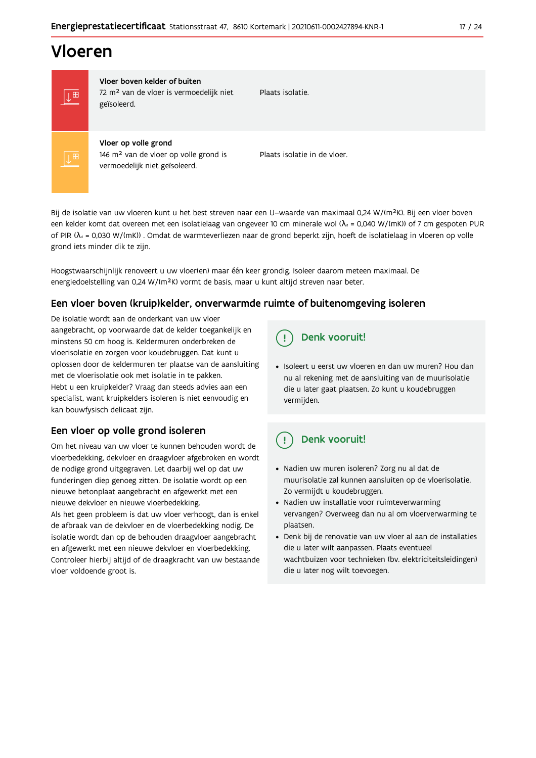# Vloeren



Vloer boven kelder of buiten 72 m<sup>2</sup> van de vloer is vermoedelijk niet geïsoleerd.

Plaats isolatie

Vloer op volle grond 146 m<sup>2</sup> van de vloer op volle grond is vermoedelijk niet geïsoleerd.

Plaats isolatie in de vloer.

Bij de isolatie van uw vloeren kunt u het best streven naar een U-waarde van maximaal 0.24 W/(m<sup>2</sup>K). Bij een vloer boven een kelder komt dat overeen met een isolatielaag van ongeveer 10 cm minerale wol ( $\lambda_d$  = 0,040 W/(mK)) of 7 cm gespoten PUR of PIR ( $\lambda_4$  = 0,030 W/(mK)). Omdat de warmteverliezen naar de grond beperkt zijn, hoeft de isolatielaag in vloeren op volle grond iets minder dik te zijn.

Hoogstwaarschijnlijk renoveert u uw vloer(en) maar één keer grondig. Isoleer daarom meteen maximaal. De energiedoelstelling van 0,24 W/(m<sup>2</sup>K) vormt de basis, maar u kunt altijd streven naar beter.

### Een vloer boven (kruip) kelder, onverwarmde ruimte of buitenomgeving isoleren

De isolatie wordt aan de onderkant van uw vloer aangebracht, op voorwaarde dat de kelder toegankelijk en minstens 50 cm hoog is. Keldermuren onderbreken de vloerisolatie en zorgen voor koudebruggen. Dat kunt u oplossen door de keldermuren ter plaatse van de aansluiting met de vloerisolatie ook met isolatie in te pakken. Hebt u een kruipkelder? Vraag dan steeds advies aan een specialist, want kruipkelders isoleren is niet eenvoudig en kan bouwfysisch delicaat zijn.

### Een vloer op volle grond isoleren

Om het niveau van uw vloer te kunnen behouden wordt de vloerbedekking, dekvloer en draagvloer afgebroken en wordt de nodige grond uitgegraven. Let daarbij wel op dat uw funderingen diep genoeg zitten. De isolatie wordt op een nieuwe betonplaat aangebracht en afgewerkt met een nieuwe dekvloer en nieuwe vloerbedekking.

Als het geen probleem is dat uw vloer verhoogt, dan is enkel de afbraak van de dekvloer en de vloerbedekking nodig. De isolatie wordt dan op de behouden draagvloer aangebracht en afgewerkt met een nieuwe dekvloer en vloerbedekking. Controleer hierbij altijd of de draagkracht van uw bestaande vloer voldoende groot is.

#### Denk vooruit! Ţ

· Isoleert u eerst uw vloeren en dan uw muren? Hou dan nu al rekening met de aansluiting van de muurisolatie die u later gaat plaatsen. Zo kunt u koudebruggen vermijden.

#### Denk vooruit! q

- · Nadien uw muren isoleren? Zorg nu al dat de muurisolatie zal kunnen aansluiten op de vloerisolatie. Zo vermijdt u koudebruggen.
- Nadien uw installatie voor ruimteverwarming vervangen? Overweeg dan nu al om vloerverwarming te plaatsen.
- · Denk bij de renovatie van uw vloer al aan de installaties die u later wilt aanpassen. Plaats eventueel wachtbuizen voor technieken (bv. elektriciteitsleidingen) die u later nog wilt toevoegen.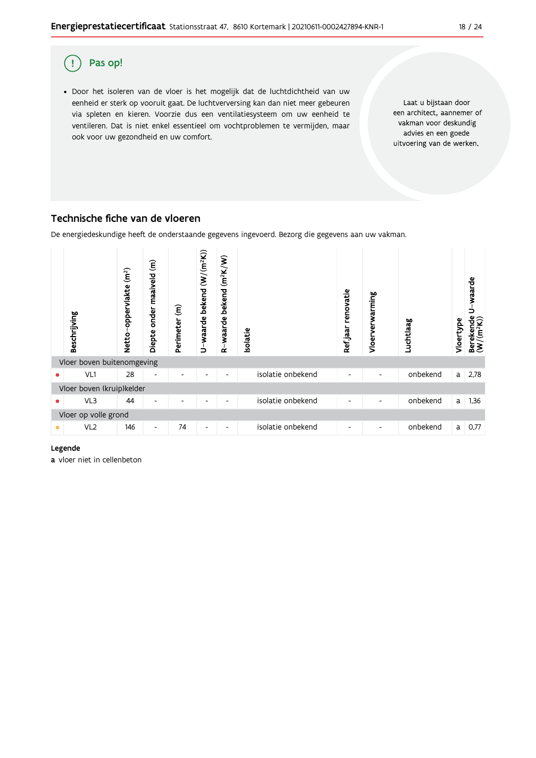

### Technische fiche van de vloeren

De energiedeskundige heeft de onderstaande gegevens ingevoerd. Bezorg die gegevens aan uw vakman.



#### Legende

a vloer niet in cellenbeton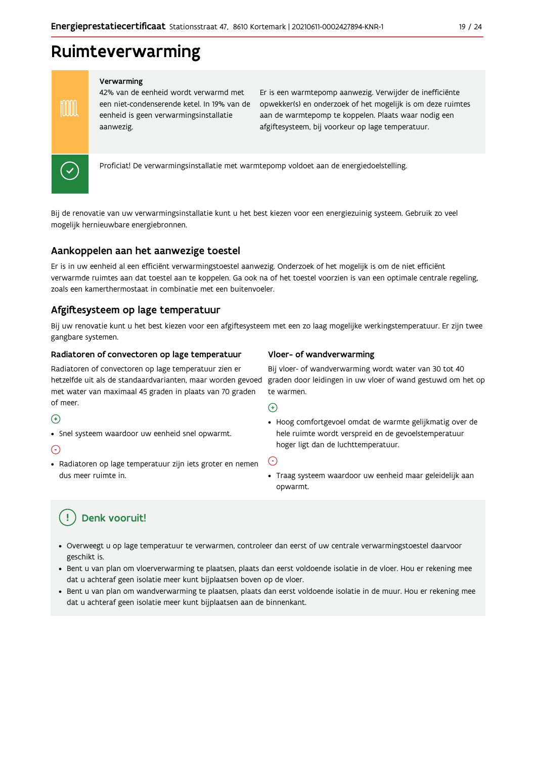# Ruimteverwarming

#### Verwarming

42% van de eenheid wordt verwarmd met een niet-condenserende ketel. In 19% van de eenheid is geen verwarmingsinstallatie aanwezig.

Er is een warmtepomp aanwezig. Verwijder de inefficiënte opwekker(s) en onderzoek of het mogelijk is om deze ruimtes aan de warmtepomp te koppelen. Plaats waar nodig een afgiftesysteem, bij voorkeur op lage temperatuur.



**TOOT** 

Proficiat! De verwarmingsinstallatie met warmtepomp voldoet aan de energiedoelstelling.

Bij de renovatie van uw verwarmingsinstallatie kunt u het best kiezen voor een energiezuinig systeem. Gebruik zo veel mogelijk hernieuwbare energiebronnen.

### Aankoppelen aan het aanwezige toestel

Er is in uw eenheid al een efficiënt verwarmingstoestel aanwezig. Onderzoek of het mogelijk is om de niet efficiënt verwarmde ruimtes aan dat toestel aan te koppelen. Ga ook na of het toestel voorzien is van een optimale centrale regeling, zoals een kamerthermostaat in combinatie met een buitenvoeler.

### Afgiftesysteem op lage temperatuur

Bij uw renovatie kunt u het best kiezen voor een afgiftesysteem met een zo laag mogelijke werkingstemperatuur. Er zijn twee gangbare systemen.

#### Radiatoren of convectoren op lage temperatuur

Radiatoren of convectoren op lage temperatuur zien er met water van maximaal 45 graden in plaats van 70 graden of meer.

#### $\Theta$

• Snel systeem waardoor uw eenheid snel opwarmt.

#### ⊙

· Radiatoren op lage temperatuur zijn iets groter en nemen dus meer ruimte in.

#### Vloer- of wandverwarming

Bij vloer- of wandverwarming wordt water van 30 tot 40 hetzelfde uit als de standaardvarianten, maar worden gevoed graden door leidingen in uw vloer of wand gestuwd om het op te warmen.

 $\bigoplus$ 

· Hoog comfortgevoel omdat de warmte gelijkmatig over de hele ruimte wordt verspreid en de gevoelstemperatuur hoger ligt dan de luchttemperatuur.

 $(\text{-})$ 

· Traag systeem waardoor uw eenheid maar geleidelijk aan opwarmt.

#### Ţ Denk vooruit!

- · Overweegt u op lage temperatuur te verwarmen, controleer dan eerst of uw centrale verwarmingstoestel daarvoor geschikt is.
- · Bent u van plan om vloerverwarming te plaatsen, plaats dan eerst voldoende isolatie in de vloer. Hou er rekening mee dat u achteraf geen isolatie meer kunt bijplaatsen boven op de vloer.
- · Bent u van plan om wandverwarming te plaatsen, plaats dan eerst voldoende isolatie in de muur. Hou er rekening mee dat u achteraf geen isolatie meer kunt bijplaatsen aan de binnenkant.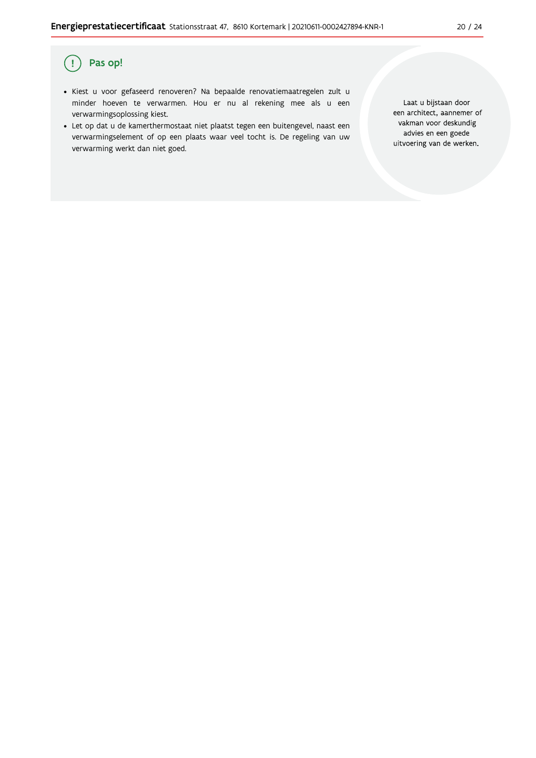#### Pas op!  $($ !

- · Kiest u voor gefaseerd renoveren? Na bepaalde renovatiemaatregelen zult u minder hoeven te verwarmen. Hou er nu al rekening mee als u een verwarmingsoplossing kiest.
- · Let op dat u de kamerthermostaat niet plaatst tegen een buitengevel, naast een verwarmingselement of op een plaats waar veel tocht is. De regeling van uw verwarming werkt dan niet goed.

Laat u bijstaan door een architect, aannemer of vakman voor deskundig advies en een goede uitvoering van de werken.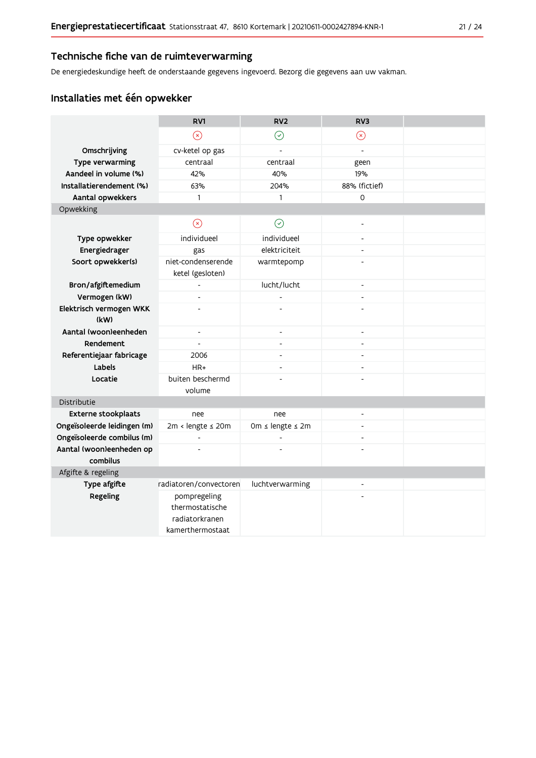### Technische fiche van de ruimteverwarming

De energiedeskundige heeft de onderstaande gegevens ingevoerd. Bezorg die gegevens aan uw vakman.

### Installaties met één opwekker

|                                      | RV1                                                                   | RV <sub>2</sub>          | RV3                      |  |  |  |  |  |
|--------------------------------------|-----------------------------------------------------------------------|--------------------------|--------------------------|--|--|--|--|--|
|                                      | $\circledR$                                                           | $\odot$                  | $\circledR$              |  |  |  |  |  |
| Omschrijving                         | cv-ketel op gas                                                       | $\overline{a}$           | $\overline{a}$           |  |  |  |  |  |
| Type verwarming                      | centraal                                                              | centraal                 | geen                     |  |  |  |  |  |
| Aandeel in volume (%)                | 42%                                                                   | 40%                      | 19%                      |  |  |  |  |  |
| Installatierendement (%)             | 63%                                                                   | 204%                     | 88% (fictief)            |  |  |  |  |  |
| Aantal opwekkers                     | $\mathbf{1}$                                                          | $\mathbf{1}$             | 0                        |  |  |  |  |  |
| Opwekking                            |                                                                       |                          |                          |  |  |  |  |  |
|                                      | $\circledR$                                                           | $\odot$                  | $\overline{a}$           |  |  |  |  |  |
| Type opwekker                        | individueel                                                           | individueel              | $\overline{a}$           |  |  |  |  |  |
| Energiedrager                        | gas                                                                   | elektriciteit            | $\overline{a}$           |  |  |  |  |  |
| Soort opwekker(s)                    | niet-condenserende<br>ketel (gesloten)                                | warmtepomp               |                          |  |  |  |  |  |
| Bron/afgiftemedium                   | $\overline{a}$                                                        | lucht/lucht              | $\overline{\phantom{a}}$ |  |  |  |  |  |
| Vermogen (kW)                        | $\overline{\phantom{a}}$                                              |                          | $\overline{a}$           |  |  |  |  |  |
| Elektrisch vermogen WKK<br>(kW)      |                                                                       |                          |                          |  |  |  |  |  |
| Aantal (woon)eenheden                | $\overline{\phantom{a}}$                                              | $\overline{\phantom{a}}$ | $\overline{a}$           |  |  |  |  |  |
| Rendement                            |                                                                       | $\overline{a}$           |                          |  |  |  |  |  |
| Referentiejaar fabricage             | 2006                                                                  | L,                       |                          |  |  |  |  |  |
| Labels                               | $HR+$                                                                 | $\overline{a}$           | $\overline{a}$           |  |  |  |  |  |
| Locatie                              | buiten beschermd                                                      |                          |                          |  |  |  |  |  |
|                                      | volume                                                                |                          |                          |  |  |  |  |  |
| Distributie                          |                                                                       |                          |                          |  |  |  |  |  |
| <b>Externe stookplaats</b>           | nee                                                                   | nee                      | $\blacksquare$           |  |  |  |  |  |
| Ongeïsoleerde leidingen (m)          | 2m < lengte ≤ 20m                                                     | 0m ≤ lengte ≤ 2m         |                          |  |  |  |  |  |
| Ongeïsoleerde combilus (m)           |                                                                       |                          | $\overline{a}$           |  |  |  |  |  |
| Aantal (woon)eenheden op<br>combilus |                                                                       |                          |                          |  |  |  |  |  |
| Afgifte & regeling                   |                                                                       |                          |                          |  |  |  |  |  |
| Type afgifte                         | radiatoren/convectoren                                                | luchtverwarming          |                          |  |  |  |  |  |
| Regeling                             | pompregeling<br>thermostatische<br>radiatorkranen<br>kamerthermostaat |                          |                          |  |  |  |  |  |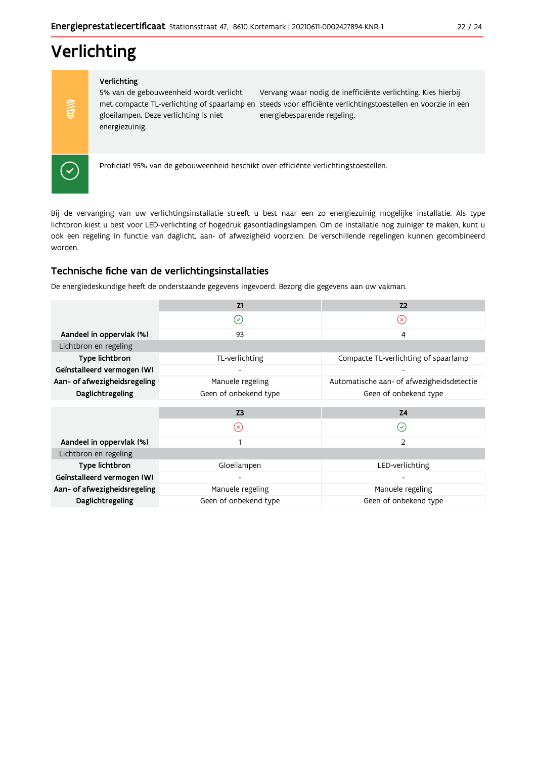# Verlichting

#### Verlichting

5% van de gebouweenheid wordt verlicht gloeilampen. Deze verlichting is niet energiezuinig.

Vervang waar nodig de inefficiënte verlichting. Kies hierbij met compacte TL-verlichting of spaarlamp en steeds voor efficiënte verlichtingstoestellen en voorzie in een energiebesparende regeling.



 $\frac{1}{2}$ 

Proficiat! 95% van de gebouweenheid beschikt over efficiënte verlichtingstoestellen.

Bij de vervanging van uw verlichtingsinstallatie streeft u best naar een zo energiezuinig mogelijke installatie. Als type lichtbron kiest u best voor LED-verlichting of hogedruk gasontladingslampen. Om de installatie nog zuiniger te maken, kunt u ook een regeling in functie van daglicht, aan- of afwezigheid voorzien. De verschillende regelingen kunnen gecombineerd worden.

#### Technische fiche van de verlichtingsinstallaties

De energiedeskundige heeft de onderstaande gegevens ingevoerd. Bezorg die gegevens aan uw vakman.

|                              | Z1                    | Z <sub>2</sub>                            |  |  |  |  |  |
|------------------------------|-----------------------|-------------------------------------------|--|--|--|--|--|
|                              | $(\checkmark)$        | $(\times)$                                |  |  |  |  |  |
| Aandeel in oppervlak (%)     | 93                    | 4                                         |  |  |  |  |  |
| Lichtbron en regeling        |                       |                                           |  |  |  |  |  |
| Type lichtbron               | TL-verlichting        | Compacte TL-verlichting of spaarlamp      |  |  |  |  |  |
| Geïnstalleerd vermogen (W)   |                       |                                           |  |  |  |  |  |
| Aan- of afwezigheidsregeling | Manuele regeling      | Automatische aan- of afwezigheidsdetectie |  |  |  |  |  |
| Daglichtregeling             | Geen of onbekend type | Geen of onbekend type                     |  |  |  |  |  |
|                              |                       |                                           |  |  |  |  |  |
|                              | Z <sub>3</sub>        | <b>Z4</b>                                 |  |  |  |  |  |
|                              | $(\times)$            | $\sim$                                    |  |  |  |  |  |
| Aandeel in oppervlak (%)     |                       | 2                                         |  |  |  |  |  |
| Lichtbron en regeling        |                       |                                           |  |  |  |  |  |
| Type lichtbron               | Gloeilampen           | LED-verlichting                           |  |  |  |  |  |
| Geïnstalleerd vermogen (W)   |                       |                                           |  |  |  |  |  |
| Aan- of afwezigheidsregeling | Manuele regeling      | Manuele regeling                          |  |  |  |  |  |
| Daglichtregeling             | Geen of onbekend type | Geen of onbekend type                     |  |  |  |  |  |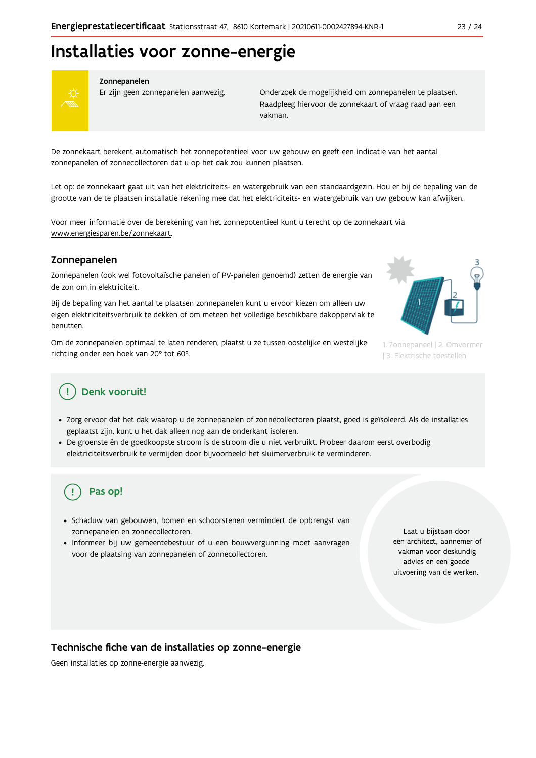# Installaties voor zonne-energie



#### Zonnepanelen

Er zijn geen zonnepanelen aanwezig.

Onderzoek de mogelijkheid om zonnepanelen te plaatsen. Raadpleeg hiervoor de zonnekaart of vraag raad aan een vakman.

De zonnekaart berekent automatisch het zonnepotentieel voor uw gebouw en geeft een indicatie van het aantal zonnepanelen of zonnecollectoren dat u op het dak zou kunnen plaatsen.

Let op: de zonnekaart gaat uit van het elektriciteits- en watergebruik van een standaardgezin. Hou er bij de bepaling van de grootte van de te plaatsen installatie rekening mee dat het elektriciteits- en watergebruik van uw gebouw kan afwijken.

Voor meer informatie over de berekening van het zonnepotentieel kunt u terecht op de zonnekaart via www.energiesparen.be/zonnekaart.

### Zonnepanelen

Zonnepanelen (ook wel fotovoltaïsche panelen of PV-panelen genoemd) zetten de energie van de zon om in elektriciteit.

Bij de bepaling van het aantal te plaatsen zonnepanelen kunt u ervoor kiezen om alleen uw eigen elektriciteitsverbruik te dekken of om meteen het volledige beschikbare dakoppervlak te benutten.

Om de zonnepanelen optimaal te laten renderen, plaatst u ze tussen oostelijke en westelijke richting onder een hoek van 20° tot 60°.



1. Zonnepaneel | 2. Omvormer | 3. Elektrische toestellen

### Denk vooruit!

- · Zorg ervoor dat het dak waarop u de zonnepanelen of zonnecollectoren plaatst, goed is geïsoleerd. Als de installaties geplaatst zijn, kunt u het dak alleen nog aan de onderkant isoleren.
- · De groenste én de goedkoopste stroom is de stroom die u niet verbruikt. Probeer daarom eerst overbodig elektriciteitsverbruik te vermijden door bijvoorbeeld het sluimerverbruik te verminderen.

# Pas op!

- · Schaduw van gebouwen, bomen en schoorstenen vermindert de opbrengst van zonnepanelen en zonnecollectoren.
- Informeer bij uw gemeentebestuur of u een bouwvergunning moet aanvragen voor de plaatsing van zonnepanelen of zonnecollectoren.

Laat u bijstaan door een architect, aannemer of vakman voor deskundig advies en een goede uitvoering van de werken.

Technische fiche van de installaties op zonne-energie

Geen installaties op zonne-energie aanwezig.